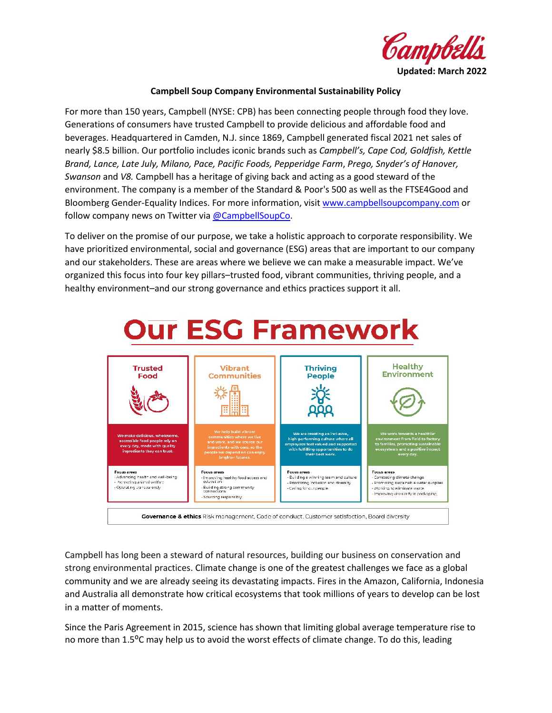

### **Campbell Soup Company Environmental Sustainability Policy**

For more than 150 years, Campbell (NYSE: CPB) has been connecting people through food they love. Generations of consumers have trusted Campbell to provide delicious and affordable food and beverages. Headquartered in Camden, N.J. since 1869, Campbell generated fiscal 2021 net sales of nearly \$8.5 billion. Our portfolio includes iconic brands such as *Campbell's, Cape Cod, Goldfish, Kettle Brand, Lance, Late July, Milano, Pace, Pacific Foods, Pepperidge Farm*, *Prego, Snyder's of Hanover, Swanson* and *V8.* Campbell has a heritage of giving back and acting as a good steward of the environment. The company is a member of the Standard & Poor's 500 as well as the FTSE4Good and Bloomberg Gender-Equality Indices. For more information, visi[t www.campbellsoupcompany.com](http://www.campbellsoupcompany.com/) or follow company news on Twitter via [@CampbellSoupCo.](https://twitter.com/CampbellSoupCo)

To deliver on the promise of our purpose, we take a holistic approach to corporate responsibility. We have prioritized environmental, social and governance (ESG) areas that are important to our company and our stakeholders. These are areas where we believe we can make a measurable impact. We've organized this focus into four key pillars–trusted food, vibrant communities, thriving people, and a healthy environment–and our strong governance and ethics practices support it all.



Campbell has long been a steward of natural resources, building our business on conservation and strong environmental practices. Climate change is one of the greatest challenges we face as a global community and we are already seeing its devastating impacts. Fires in the Amazon, California, Indonesia and Australia all demonstrate how critical ecosystems that took millions of years to develop can be lost in a matter of moments.

Since the Paris Agreement in 2015, science has shown that limiting global average temperature rise to no more than 1.5<sup>o</sup>C may help us to avoid the worst effects of climate change. To do this, leading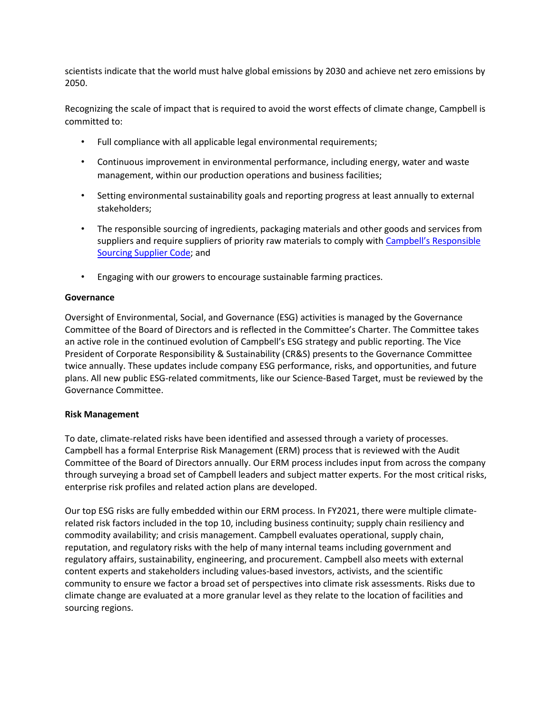scientists indicate that the world must halve global emissions by 2030 and achieve net zero emissions by 2050.

Recognizing the scale of impact that is required to avoid the worst effects of climate change, Campbell is committed to:

- Full compliance with all applicable legal environmental requirements;
- Continuous improvement in environmental performance, including energy, water and waste management, within our production operations and business facilities;
- Setting environmental sustainability goals and reporting progress at least annually to external stakeholders;
- The responsible sourcing of ingredients, packaging materials and other goods and services from suppliers and require suppliers of priority raw materials to comply with Campbell's Responsible [Sourcing Supplier Code;](https://www.campbellsoupcompany.com/wp-content/uploads/2022/02/responsible-sourcing-supplier-code.pdf) and
- Engaging with our growers to encourage sustainable farming practices.

### **Governance**

Oversight of Environmental, Social, and Governance (ESG) activities is managed by the Governance Committee of the Board of Directors and is reflected in the Committee's Charter. The Committee takes an active role in the continued evolution of Campbell's ESG strategy and public reporting. The Vice President of Corporate Responsibility & Sustainability (CR&S) presents to the Governance Committee twice annually. These updates include company ESG performance, risks, and opportunities, and future plans. All new public ESG-related commitments, like our Science-Based Target, must be reviewed by the Governance Committee.

### **Risk Management**

To date, climate-related risks have been identified and assessed through a variety of processes. Campbell has a formal Enterprise Risk Management (ERM) process that is reviewed with the Audit Committee of the Board of Directors annually. Our ERM process includes input from across the company through surveying a broad set of Campbell leaders and subject matter experts. For the most critical risks, enterprise risk profiles and related action plans are developed.

Our top ESG risks are fully embedded within our ERM process. In FY2021, there were multiple climaterelated risk factors included in the top 10, including business continuity; supply chain resiliency and commodity availability; and crisis management. Campbell evaluates operational, supply chain, reputation, and regulatory risks with the help of many internal teams including government and regulatory affairs, sustainability, engineering, and procurement. Campbell also meets with external content experts and stakeholders including values-based investors, activists, and the scientific community to ensure we factor a broad set of perspectives into climate risk assessments. Risks due to climate change are evaluated at a more granular level as they relate to the location of facilities and sourcing regions.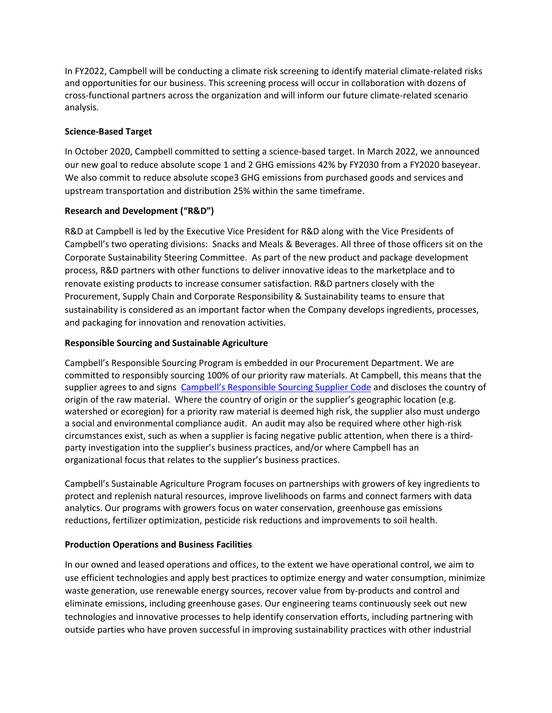In FY2022, Campbell will be conducting a climate risk screening to identify material climate-related risks and opportunities for our business. This screening process will occur in collaboration with dozens of cross-functional partners across the organization and will inform our future climate-related scenario analysis.

## **Science-Based Target**

In October 2020, Campbell committed to setting a science-based target. In March 2022, we announced our new goal to reduce absolute scope 1 and 2 GHG emissions 42% by FY2030 from a FY2020 baseyear. We also commit to reduce absolute scope3 GHG emissions from purchased goods and services and upstream transportation and distribution 25% within the same timeframe.

## **Research and Development ("R&D")**

R&D at Campbell is led by the Executive Vice President for R&D along with the Vice Presidents of Campbell's two operating divisions: Snacks and Meals & Beverages. All three of those officers sit on the Corporate Sustainability Steering Committee. As part of the new product and package development process, R&D partners with other functions to deliver innovative ideas to the marketplace and to renovate existing products to increase consumer satisfaction. R&D partners closely with the Procurement, Supply Chain and Corporate Responsibility & Sustainability teams to ensure that sustainability is considered as an important factor when the Company develops ingredients, processes, and packaging for innovation and renovation activities.

## **Responsible Sourcing and Sustainable Agriculture**

Campbell's Responsible Sourcing Program is embedded in our Procurement Department. We are committed to responsibly sourcing 100% of our priority raw materials. At Campbell, this means that the supplier agrees to and signs [Campbell's Responsible Sourcing Supplier Code](https://www.campbellsoupcompany.com/wp-content/uploads/2022/02/responsible-sourcing-supplier-code.pdf) and discloses the country of origin of the raw material. Where the country of origin or the supplier's geographic location (e.g. watershed or ecoregion) for a priority raw material is deemed high risk, the supplier also must undergo a social and environmental compliance audit. An audit may also be required where other high-risk circumstances exist, such as when a supplier is facing negative public attention, when there is a thirdparty investigation into the supplier's business practices, and/or where Campbell has an organizational focus that relates to the supplier's business practices.

Campbell's Sustainable Agriculture Program focuses on partnerships with growers of key ingredients to protect and replenish natural resources, improve livelihoods on farms and connect farmers with data analytics. Our programs with growers focus on water conservation, greenhouse gas emissions reductions, fertilizer optimization, pesticide risk reductions and improvements to soil health.

# **Production Operations and Business Facilities**

In our owned and leased operations and offices, to the extent we have operational control, we aim to use efficient technologies and apply best practices to optimize energy and water consumption, minimize waste generation, use renewable energy sources, recover value from by-products and control and eliminate emissions, including greenhouse gases. Our engineering teams continuously seek out new technologies and innovative processes to help identify conservation efforts, including partnering with outside parties who have proven successful in improving sustainability practices with other industrial